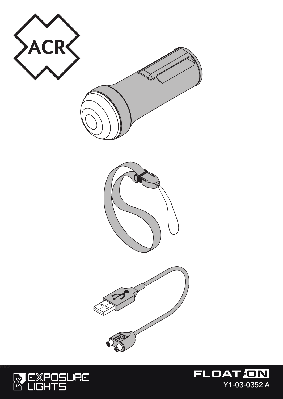

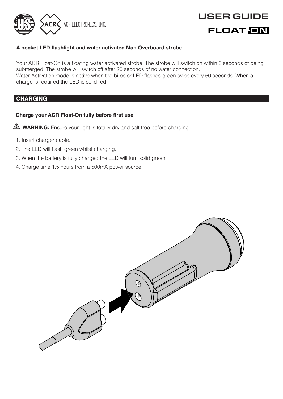

# **A pocket LED fashlight and water activated Man Overboard strobe.**

Your ACR Float-On is a foating water activated strobe. The strobe will switch on within 8 seconds of being submerged. The strobe will switch off after 20 seconds of no water connection. Water Activation mode is active when the bi-color LED fashes green twice every 60 seconds. When a charge is required the LED is solid red.

# **CHARGING**

# **Charge your ACR Float-On fully before frst use**

- **WARNING:** Ensure your light is totally dry and salt free before charging.
	- 1. Insert charger cable.
	- 2. The LED will flash green whilst charging.
	- 3. When the battery is fully charged the LED will turn solid green.
	- 4. Charge time 1.5 hours from a 500mA power source.

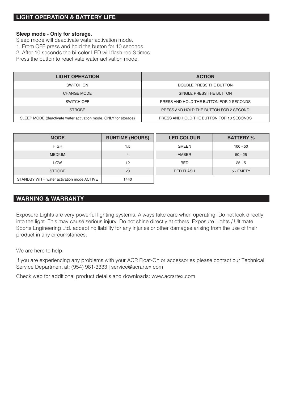# **LIGHT OPERATION & BATTERY LIFE**

## **Sleep mode - Only for storage.**

Sleep mode will deactivate water activation mode. 1. From OFF press and hold the button for 10 seconds. 2. After 10 seconds the bi-color LED will flash red 3 times. Press the button to reactivate water activation mode.

| <b>LIGHT OPERATION</b>                                          | <b>ACTION</b>                            |
|-----------------------------------------------------------------|------------------------------------------|
| SWITCH ON                                                       | DOUBLE PRESS THE BUTTON                  |
| CHANGE MODE                                                     | SINGLE PRESS THE BUTTON                  |
| SWITCH OFF                                                      | PRESS AND HOLD THE BUTTON FOR 2 SECONDS. |
| <b>STROBE</b>                                                   | PRESS AND HOLD THE BUTTON FOR 2 SECOND.  |
| SLEEP MODE (deactivate water activation mode, ONLY for storage) | PRESS AND HOLD THE BUTTON FOR 10 SECONDS |

| <b>MODE</b>                               | <b>RUNTIME (HOURS)</b> | <b>LED COLOUR</b> | <b>BATTERY %</b> |
|-------------------------------------------|------------------------|-------------------|------------------|
| <b>HIGH</b>                               | 1.5                    | GREEN             | $100 - 50$       |
| <b>MEDIUM</b>                             |                        | AMBER             | $50 - 25$        |
| <b>I OW</b>                               | 12                     | RED               | $25 - 5$         |
| <b>STROBE</b>                             | 20                     | <b>RED FLASH</b>  | 5 - EMPTY        |
| STANDBY WITH water activation mode ACTIVE | 1440                   |                   |                  |

# **WARNING & WARRANTY**

Exposure Lights are very powerful lighting systems. Always take care when operating. Do not look directly into the light. This may cause serious injury. Do not shine directly at others. Exposure Lights / Ultimate Sports Engineering Ltd. accept no liability for any injuries or other damages arising from the use of their product in any circumstances.

We are here to help.

If you are experiencing any problems with your ACR Float-On or accessories please contact our Technical Service Department at: (954) 981-3333 | service@acrartex.com

Check web for additional product details and downloads: www.acrartex.com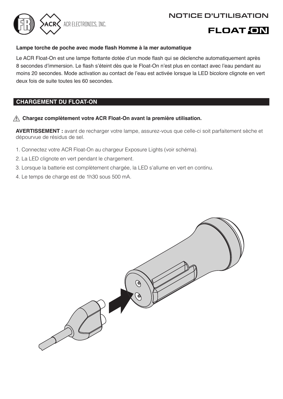# NOTICE D'UTILISATION



# **FLOAT ON**

# **Lampe torche de poche avec mode fash Homme à la mer automatique**

Le ACR Float-On est une lampe fottante dotée d'un mode fash qui se déclenche automatiquement après 8 secondes d'immersion. Le fash s'éteint dès que le Float-On n'est plus en contact avec l'eau pendant au moins 20 secondes. Mode activation au contact de l'eau est activée lorsque la LED bicolore clignote en vert deux fois de suite toutes les 60 secondes.

# **CHARGEMENT DU FLOAT-ON**

# **Chargez complètement votre ACR Float-On avant la première utilisation.**

**AVERTISSEMENT :** avant de recharger votre lampe, assurez-vous que celle-ci soit parfaitement sèche et dépourvue de résidus de sel.

- 1. Connectez votre ACR Float-On au chargeur Exposure Lights (voir schéma).
- 2. La LED clignote en vert pendant le chargement.
- 3. Lorsque la batterie est complètement chargée, la LED s'allume en vert en continu.
- 4. Le temps de charge est de 1h30 sous 500 mA.

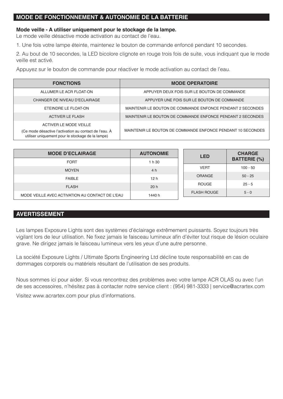# **MODE DE FONCTIONNEMENT & AUTONOMIE DE LA BATTERIE**

### **Mode veille - A utiliser uniquement pour le stockage de la lampe.**

Le mode veille désactive mode activation au contact de l'eau.

1. Une fois votre lampe éteinte, maintenez le bouton de commande enfoncé pendant 10 secondes.

2. Au bout de 10 secondes, la LED bicolore clignote en rouge trois fois de suite, vous indiquant que le mode veille est activé.

Appuyez sur le bouton de commande pour réactiver le mode activation au contact de l'eau.

| <b>FONCTIONS</b>                                                                                                                      | <b>MODE OPERATOIRE</b>                                      |
|---------------------------------------------------------------------------------------------------------------------------------------|-------------------------------------------------------------|
| ALLUMER LE ACR ELOAT-ON                                                                                                               | APPUYER DEUX FOIS SUR LE BOUTON DE COMMANDE                 |
| CHANGER DE NIVEAU D'ECLAIRAGE                                                                                                         | APPUYER UNE FOIS SUR LE BOUTON DE COMMANDE                  |
| FTFINDRE I F FLOAT-ON                                                                                                                 | MAINTENIR LE BOUTON DE COMMANDE ENFONCE PENDANT 2 SECONDES  |
| ACTIVER LE FLASH                                                                                                                      | MAINTENIR LE BOUTON DE COMMANDE ENFONCE PENDANT 2 SECONDES  |
| ACTIVER LE MODE VEILLE<br>(Ce mode désactive l'activation au contact de l'eau. À<br>utiliser uniquement pour le stockage de la lampe) | MAINTENIR LE BOUTON DE COMMANDE ENFONCE PENDANT 10 SECONDES |

| <b>MODE D'ECLAIRAGE</b>                         | <b>AUTONOMIE</b> | LED                | <b>CHARGE</b>       |
|-------------------------------------------------|------------------|--------------------|---------------------|
| FORT                                            | 1 h 30           |                    | <b>BATTERIE (%)</b> |
| <b>MOYEN</b>                                    | 4h               | <b>VFRT</b>        | $100 - 50$          |
| <b>FAIBLE</b>                                   | 12h              | <b>ORANGE</b>      | $50 - 25$           |
| <b>FLASH</b>                                    | 20 h             | <b>BOUGE</b>       | $25 - 5$            |
| MODE VEILLE AVEC ACTIVATION AU CONTACT DE L'EAU | 1440 h           | <b>FLASH ROUGE</b> | $5 - 0$             |

# **AVERTISSEMENT**

Les lampes Exposure Lights sont des systèmes d'éclairage extrêmement puissants. Soyez toujours très vigilant lors de leur utilisation. Ne fxez jamais le faisceau lumineux afn d'éviter tout risque de lésion oculaire grave. Ne dirigez jamais le faisceau lumineux vers les yeux d'une autre personne.

La société Exposure Lights / Ultimate Sports Engineering Ltd décline toute responsabilité en cas de dommages corporels ou matériels résultant de l'utilisation de ses produits.

Nous sommes ici pour aider. Si vous rencontrez des problèmes avec votre lampe ACR OLAS ou avec l'un de ses accessoires, n'hésitez pas à contacter notre service client : (954) 981-3333 | service@acrartex.com

Visitez www.acrartex.com pour plus d'informations.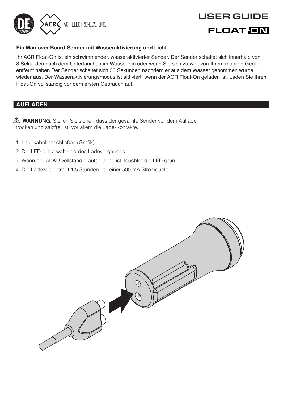

# USER GUIDE **FLOAT GM**

# **Ein Man over Board-Sender mit Wasseraktivierung und Licht.**

Ihr ACR Float-On ist ein schwimmender, wasseraktivierter Sender. Der Sender schaltet sich innerhalb von 8 Sekunden nach dem Untertauchen im Wasser ein oder wenn Sie sich zu weit von Ihrem mobilen Gerät entfernt haben.Der Sender schaltet sich 30 Sekunden nachdem er aus dem Wasser genommen wurde wieder aus. Der Wasseraktivierungsmodus ist aktiviert, wenn der ACR Float-On geladen ist. Laden Sie Ihren Float-On vollständig vor dem ersten Gebrauch auf.

# **AUFLADEN**

**WARNUNG**: Stellen Sie sicher, dass der gesamte Sender vor dem Aufaden trocken und salzfrei ist, vor allem die Lade-Kontakte.

- 1. Ladekabel anschließen (Grafk).
- 2. Die LED blinkt während des Ladevorganges.
- 3. Wenn der AKKU vollständig aufgeladen ist, leuchtet die LED grün.
- 4. Die Ladezeit beträgt 1,5 Stunden bei einer 500 mA Stromquelle.

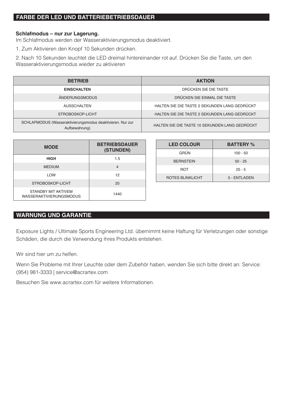# **FARBE DER LED UND BATTERIEBETRIEBSDAUER**

# **Schlafmodus – nur zur Lagerung.**

Im Schlafmodus werden der Wasseraktivierungsmodus deaktiviert.

1. Zum Aktivieren den Knopf 10 Sekunden drücken.

2. Nach 10 Sekunden leuchtet die LED dreimal hintereinander rot auf. Drücken Sie die Taste, um den Wasseraktivierungsmodus wieder zu aktivieren

| <b>BETRIEB</b>                                                              | <b>AKTION</b>                                  |
|-----------------------------------------------------------------------------|------------------------------------------------|
| <b>EINSCHALTEN</b>                                                          | DRÜCKEN SIE DIE TASTE                          |
| <b>ÄNDERUNGSMODUS</b>                                                       | DRÜCKEN SIE EINMAL DIE TASTE                   |
| AUSSCHALTEN                                                                 | HALTEN SIE DIE TASTE 2 SEKUNDEN LANG GEDRÜCKT  |
| STROBOSKOP-LICHT                                                            | HALTEN SIE DIE TASTE 2 SEKUNDEN LANG GEDRÜCKT  |
| SCHLAFMODUS (Wasseraktivierungsmodus deaktivieren. Nur zur<br>Aufbewahrung) | HALTEN SIE DIE TASTE 10 SEKUNDEN LANG GEDRÜCKT |

| <b>MODE</b>                                           | <b>BETRIEBSDAUER</b><br>(STUNDEN) |
|-------------------------------------------------------|-----------------------------------|
| <b>HIGH</b>                                           | 1.5                               |
| <b>MEDIUM</b>                                         | $\overline{a}$                    |
| <b>I OW</b>                                           | 12                                |
| STROBOSKOP-LICHT                                      | 20                                |
| STANDBY MIT AKTIVEM<br><b>WASSERAKTIVIERUNGSMODUS</b> | 1440                              |

| <b>LED COLOUR</b>       | <b>BATTERY %</b> |
|-------------------------|------------------|
| GRÜN                    | $100 - 50$       |
| <b>BERNSTEIN</b>        | $50 - 25$        |
| <b>ROT</b>              | $25 - 5$         |
| <b>ROTES BLINKLICHT</b> | 5 - FNTI ADEN    |

# **WARNUNG UND GARANTIE**

Exposure Lights / Ultimate Sports Engineering Ltd. übernimmt keine Haftung für Verletzungen oder sonstige Schäden, die durch die Verwendung ihres Produkts entstehen.

Wir sind hier um zu helfen.

Wenn Sie Probleme mit Ihrer Leuchte oder dem Zubehör haben, wenden Sie sich bitte direkt an: Service: (954) 981-3333 | service@acrartex.com

Besuchen Sie www.acrartex.com für weitere Informationen.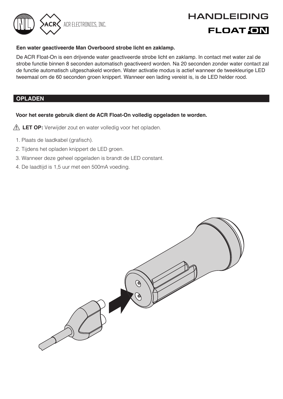# HANDLEIDING<br>FLOAT ON

# **Een water geactiveerde Man Overboord strobe licht en zaklamp.**

De ACR Float-On is een drijvende water geactiveerde strobe licht en zaklamp. In contact met water zal de strobe functie binnen 8 seconden automatisch geactiveerd worden. Na 20 seconden zonder water contact zal de functie automatisch uitgeschakeld worden. Water activatie modus is actief wanneer de tweekleurige LED tweemaal om de 60 seconden groen knippert. Wanneer een lading vereist is, is de LED helder rood.

# **OPLADEN**

# **Voor het eerste gebruik dient de ACR Float-On volledig opgeladen te worden.**

- **LET OP:** Verwijder zout en water volledig voor het opladen.
	- 1. Plaats de laadkabel (grafisch).
- 2. Tijdens het opladen knippert de LED groen.
- 3. Wanneer deze geheel opgeladen is brandt de LED constant.
- 4. De laadtijd is 1,5 uur met een 500mA voeding.

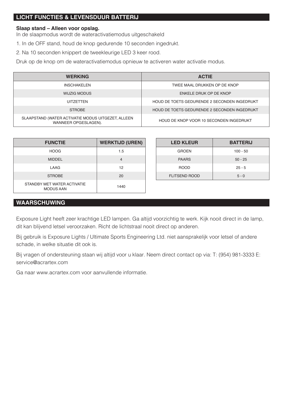# **LICHT FUNCTIES & LEVENSDUUR BATTERIJ**

# **Slaap stand – Alleen voor opslag.**

In de slaapmodus wordt de wateractivatiemodus uitgeschakeld

- 1. In de OFF stand, houd de knop gedurende 10 seconden ingedrukt.
- 2. Na 10 seconden knippert de tweekleurige LED 3 keer rood.

Druk op de knop om de wateractivatiemodus opnieuw te activeren water activatie modus.

| <b>WERKING</b>                                                             | <b>ACTIE</b>                                 |
|----------------------------------------------------------------------------|----------------------------------------------|
| <b>INSCHAKELEN</b>                                                         | TWEE MAAL DRUKKEN OP DE KNOP                 |
| WIJZIG MODUS                                                               | ENKELE DRUK OP DE KNOP                       |
| <b>UITZETTEN</b>                                                           | HOUD DE TOETS GEDURENDE 2 SECONDEN INGEDRUKT |
| <b>STROBE</b>                                                              | HOUD DE TOETS GEDURENDE 2 SECONDEN INGEDRUKT |
| SLAAPSTAND (WATER ACTIVATIE MODUS UITGEZET, ALLEEN<br>WANNEER OPGESLAGEN). | HOUD DE KNOP VOOR 10 SECONDEN INGEDRUKT      |

| <b>FUNCTIE</b>                                  | <b>WERKTIJD (UREN)</b> |
|-------------------------------------------------|------------------------|
| HOOG                                            | 1.5                    |
| <b>MIDDEL</b>                                   |                        |
| <b>LAAG</b>                                     | 12                     |
| <b>STROBE</b>                                   | 20                     |
| STANDBY MET WATER ACTIVATIE<br><b>MODUS AAN</b> | 1440                   |

| <b>LED KLEUR</b>     | <b>BATTERIJ</b> |
|----------------------|-----------------|
| GROFN                | $100 - 50$      |
| <b>PAARS</b>         | $50 - 25$       |
| <b>BOOD</b>          | $25 - 5$        |
| <b>FLITSEND ROOD</b> | $5 - 0$         |

# **WAARSCHUWING**

Exposure Light heeft zeer krachtige LED lampen. Ga altijd voorzichtig te werk. Kijk nooit direct in de lamp, dit kan blijvend letsel veroorzaken. Richt de lichtstraal nooit direct op anderen.

Bij gebruik is Exposure Lights / Ultimate Sports Engineering Ltd. niet aansprakelijk voor letsel of andere schade, in welke situatie dit ook is.

Bij vragen of ondersteuning staan wij altijd voor u klaar. Neem direct contact op via: T: (954) 981-3333 E: service@acrartex.com

Ga naar www.acrartex.com voor aanvullende informatie.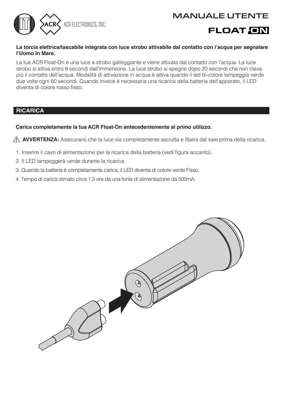

# **La torcia elettrica/tascabile integrata con luce strobo attivabile dal contatto con l'acqua per segnalare l'Uomo In Mare.**

La tua ACR Float-On è una luce a strobo galleggiante e viene attivata dal contatto con l'acqua. La luce strobo si attiva entro 8 secondi dall'immersione. La luce strobo si spegne dopo 20 secondi che non rileva più il contatto dell'acqua. Modalità di attivazione in acqua è attiva quando il led bi-colore lampeggia verde due volte ogni 60 secondi. Quando invece è necessaria una ricarica della batteria dell'apparato, il LED diventa di colore rosso fisso.

# **RICARICA**

# **Carica completamente la tua ACR Float-On antecedentemente al primo utilizzo.**

**AVVERTENZA:** Assicurarsi che la luce sia completamente asciutta e libera dal sale prima della ricarica.

- 1. Inserire il cavo di alimentazione per la ricarica della batteria (vedi figura accanto).
- 2. Il LED lampeggerà verde durante la ricarica.
- 3. Quando la batteria è completamente carica, il LED diventa di colore verde Fisso.
- 4. Tempo di carica stimato circa 1,5 ore da una fonte di alimentazione da 500mA.

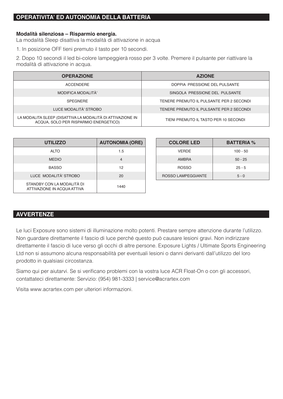# **OPERATIVITA' ED AUTONOMIA DELLA BATTERIA**

# **Modalità silenziosa – Risparmio energia.**

La modalità Sleep disattiva la modalità di attivazione in acqua

1. In posizione OFF tieni premuto il tasto per 10 secondi.

2. Dopo 10 secondi il led bi-colore lampeggierà rosso per 3 volte. Premere il pulsante per riattivare la modalità di attivazione in acqua.

| <b>OPERAZIONE</b>                                                                                   | <b>AZIONE</b>                            |
|-----------------------------------------------------------------------------------------------------|------------------------------------------|
| <b>ACCENDERE</b>                                                                                    | DOPPIA PRESSIONE DEL PULSANTE            |
| MODIFICA MODALITÀ'                                                                                  | SINGOLA PRESSIONE DEL PULSANTE           |
| <b>SPEGNERE</b>                                                                                     | TENERE PREMUTO IL PULSANTE PER 2 SECONDI |
| LUCE MODALITÀ' STROBO                                                                               | TENERE PREMUTO IL PULSANTE PER 2 SECONDI |
| LA MODALITA SLEEP (DISATTIVA LA MODALITÀ DI ATTIVAZIONE IN<br>ACQUA. SOLO PER RISPARMIO ENERGETICO) | TIENI PREMUTO IL TASTO PER 10 SECONDI    |

| <b>UTILIZZO</b>                                           | <b>AUTONOMIA (ORE)</b> |
|-----------------------------------------------------------|------------------------|
| AI TO                                                     | 1.5                    |
| <b>MEDIO</b>                                              |                        |
| <b>BASSO</b>                                              | 12                     |
| <b>LUCE MODALITÀ' STROBO</b>                              | 20                     |
| STANDBY CON LA MODALITÀ DI<br>ATTIVAZIONE IN ACQUA ATTIVA | 1440                   |

| <b>COLORE LED</b>  | <b>BATTERIA %</b> |
|--------------------|-------------------|
| VERDE              | $100 - 50$        |
| AMBRA              | $50 - 25$         |
| <b>ROSSO</b>       | $25 - 5$          |
| ROSSO LAMPEGGIANTE | $5 - 0$           |

# **AVVERTENZE**

Le luci Exposure sono sistemi di illuminazione molto potenti. Prestare sempre attenzione durante l'utilizzo. Non guardare direttamente il fascio di luce perché questo può causare lesioni gravi. Non indirizzare direttamente il fascio di luce verso gli occhi di altre persone. Exposure Lights / Ultimate Sports Engineering Ltd non si assumono alcuna responsabilità per eventuali lesioni o danni derivanti dall'utilizzo del loro prodotto in qualsiasi circostanza.

Siamo qui per aiutarvi. Se si verificano problemi con la vostra luce ACR Float-On o con gli accessori, contattateci direttamente: Servizio: (954) 981-3333 | service@acrartex.com

Visita www.acrartex.com per ulteriori informazioni.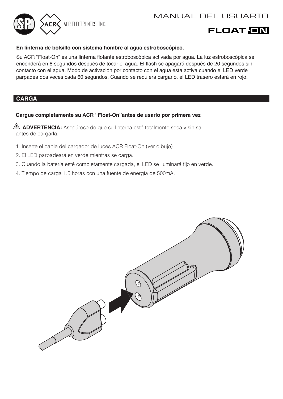

# **En linterna de bolsillo con sistema hombre al agua estroboscópico.**

Su ACR "Float-On" es una linterna flotante estroboscópica activada por aqua. La luz estroboscópica se encenderá en 8 segundos después de tocar el agua. El fash se apagará después de 20 segundos sin contacto con el agua. Modo de activación por contacto con el agua está activa cuando el LED verde parpadea dos veces cada 60 segundos. Cuando se requiera cargarlo, el LED trasero estará en rojo.

# **CARGA**

# **Cargue completamente su ACR "Float-On"antes de usarlo por primera vez**

**ADVERTENCIA:** Asegúrese de que su linterna esté totalmente seca y sin sal antes de cargarla.

- 1. Inserte el cable del cargador de luces ACR Float-On (ver dibujo).
- 2. El LED parpadeará en verde mientras se carga.
- 3. Cuando la batería esté completamente cargada, el LED se iluminará fjo en verde.
- 4. Tiempo de carga 1.5 horas con una fuente de energía de 500mA.

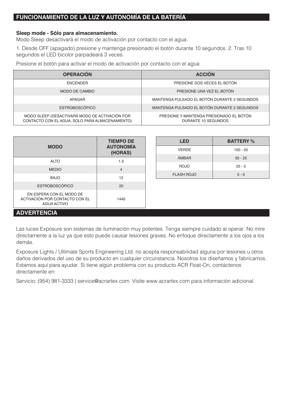# **FUNCIONAMIENTO DE LA LUZ Y AUTONOMÍA DE LA BATERÍA**

# **Sleep mode - Sólo para almacenamiento.**

Modo Sleep desactivará el modo de activación por contacto con el agua.

1. Desde OFF (apagado) presione y mantenga presionado el botón durante 10 segundos. 2. Tras 10 segundos el LED bicolor parpadeará 3 veces.

Presione el botón para activar el modo de activación por contacto con el agua

| <b>OPERACIÓN</b>                                                                                  | <b>ACCIÓN</b>                                                  |
|---------------------------------------------------------------------------------------------------|----------------------------------------------------------------|
| <b>FNCENDER</b>                                                                                   | PRESIONE DOS VECES EL BOTÓN                                    |
| MODO DE CAMBIO                                                                                    | PRESIONE UNA VEZ EL BOTÓN                                      |
| APAGAR                                                                                            | MANTENGA PULSADO EL BOTÓN DUBANTE 2 SEGUNDOS                   |
| <b>ESTROBOSCÓPICO</b>                                                                             | MANTENGA PULSADO EL BOTÓN DURANTE 2 SEGUNDOS                   |
| MODO SLEEP (DESACTIVARÁ MODO DE ACTIVACIÓN POR<br>CONTACTO CON EL AGUA, SOLO PARA ALMACENAMIENTO) | PRESIONE Y MANTENGA PRESIONADO EL BOTÓN<br>DURANTE 10 SEGUNDOS |

| <b>MODO</b>                                                               | <b>TIEMPO DE</b><br><b>AUTONOMÍA</b><br>(HORAS) |
|---------------------------------------------------------------------------|-------------------------------------------------|
| AI TO                                                                     | 1.5                                             |
| <b>MEDIO</b>                                                              | $\overline{4}$                                  |
| BA.IO                                                                     | 12                                              |
| <b>ESTROBOSCÓPICO</b>                                                     | 20                                              |
| EN ESPERA CON EL MODO DE<br>ACTIVACIÓN POR CONTACTO CON EL<br>AGUA ACTIVO | 1440                                            |

| LED               | <b>BATTERY %</b> |
|-------------------|------------------|
| VERDE             | $100 - 50$       |
| ÁMBAR             | $50 - 25$        |
| BOJO              | $25 - 5$         |
| <b>FLASH ROJO</b> | $5 - 0$          |

# **ADVERTENCIA**

Las luces Exposure son sistemas de iluminación muy potentes. Tenga siempre cuidado al operar. No mire directamente a la luz ya que esto puede causar lesiones graves. No enfoque directamente a los ojos a los demás.

Exposure Lights / Ultimate Sports Engineering Ltd. no acepta responsabilidad alguna por lesiones u otros daños derivados del uso de su producto en cualquier circunstancia. Nosotros los diseñamos y fabricamos. Estamos aquí para ayudar. Si tiene algún problema con su producto ACR Float-On, contáctenos directamente en:

Servicio: (954) 981-3333 | service@acrartex.com. Visite www.acrartex.com para información adicional.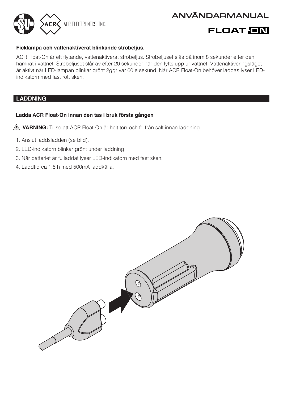

# **Ficklampa och vattenaktiverat blinkande strobeljus.**

ACR Float-On är ett fytande, vattenaktiverat strobeljus. Strobeljuset slås på inom 8 sekunder efter den hamnat i vattnet. Strobeljuset slår av efter 20 sekunder när den lyfts upp ur vattnet. Vattenaktiveringsläget är aktivt när LED-lampan blinkar grönt 2ggr var 60:e sekund. När ACR Float-On behöver laddas lyser LEDindikatorn med fast rött sken.

# **LADDNING**

# **Ladda ACR Float-On innan den tas i bruk första gången**

- **VARNING:** Tillse att ACR Float-On är helt torr och fri från salt innan laddning.
	- 1. Anslut laddsladden (se bild).
- 2. LED-indikatorn blinkar grönt under laddning.
- 3. När batteriet är fulladdat lyser LED-indikatorn med fast sken.
- 4. Laddtid ca 1,5 h med 500mA laddkälla.

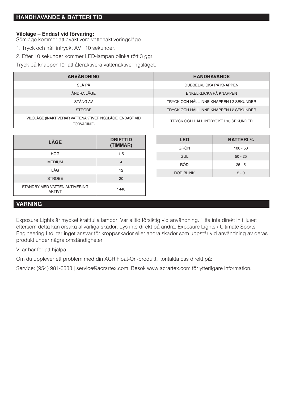# **HANDHAVANDE & BATTERI TID**

### **Viloläge – Endast vid förvaring:**

Sömläge kommer att avaktivera vattenaktiveringsläge

1. Tryck och håll intryckt AV i 10 sekunder.

2. Efter 10 sekunder kommer LED-lampan blinka rött 3 ggr.

Tryck på knappen för att återaktivera vattenaktiveringsläget.

| <b>ANVÄNDNING</b>                                                     | <b>HANDHAVANDE</b>                       |
|-----------------------------------------------------------------------|------------------------------------------|
| SI Å PÅ                                                               | DUBBELKLICKA PÅ KNAPPEN                  |
| ÄNDRA I ÄGF                                                           | <b>FNKELKLICKA PÅ KNAPPEN</b>            |
| STÄNG AV                                                              | TRYCK OCH HÅLL INNE KNAPPEN I 2 SEKUNDER |
| <b>STROBE</b>                                                         | TRYCK OCH HÅLL INNE KNAPPEN I 2 SEKUNDER |
| VILOLÄGE (INAKTIVERAR VATTENAKTIVERINGSLÄGE, ENDAST VID<br>FÖRVARING) | TRYCK OCH HÅLL INTRYCKT I 10 SEKUNDER    |

| LÄGE                                           | <b>DRIFTTID</b><br>(TIMMAR) |
|------------------------------------------------|-----------------------------|
| HÖG                                            | 1.5                         |
| <b>MEDIUM</b>                                  | 4                           |
| IÅG                                            | 12                          |
| <b>STROBE</b>                                  | 20                          |
| STANDBY MED VATTEN AKTIVERING<br><b>AKTIVT</b> | 1440                        |

| LED              | <b>BATTERI</b> % |
|------------------|------------------|
| GRÖN             | $100 - 50$       |
| GUL              | $50 - 25$        |
| RÖD              | $25 - 5$         |
| <b>RÖD BLINK</b> | $5 - 0$          |

# **VARNING**

Exposure Lights är mycket kraftfulla lampor. Var alltid försiktig vid användning. Titta inte direkt in i ljuset eftersom detta kan orsaka allvarliga skador. Lys inte direkt på andra. Exposure Lights / Ultimate Sports Engineering Ltd. tar inget ansvar för kroppsskador eller andra skador som uppstår vid användning av deras produkt under några omständigheter.

Vi är här för att hjälpa.

Om du upplever ett problem med din ACR Float-On-produkt, kontakta oss direkt på:

Service: (954) 981-3333 | service@acrartex.com. Besök www.acrartex.com för ytterligare information.